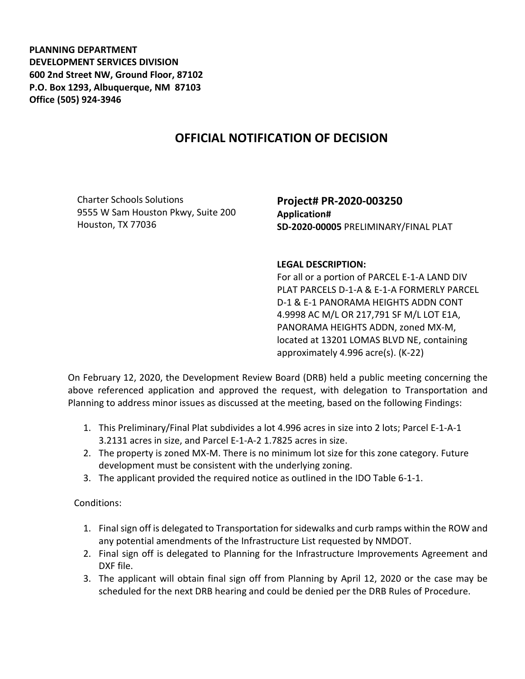**PLANNING DEPARTMENT DEVELOPMENT SERVICES DIVISION 600 2nd Street NW, Ground Floor, 87102 P.O. Box 1293, Albuquerque, NM 87103 Office (505) 924-3946** 

## **OFFICIAL NOTIFICATION OF DECISION**

Charter Schools Solutions 9555 W Sam Houston Pkwy, Suite 200 Houston, TX 77036

**Project# PR-2020-003250 Application# SD-2020-00005** PRELIMINARY/FINAL PLAT

## **LEGAL DESCRIPTION:**

For all or a portion of PARCEL E-1-A LAND DIV PLAT PARCELS D-1-A & E-1-A FORMERLY PARCEL D-1 & E-1 PANORAMA HEIGHTS ADDN CONT 4.9998 AC M/L OR 217,791 SF M/L LOT E1A, PANORAMA HEIGHTS ADDN, zoned MX-M, located at 13201 LOMAS BLVD NE, containing approximately 4.996 acre(s). (K-22)

On February 12, 2020, the Development Review Board (DRB) held a public meeting concerning the above referenced application and approved the request, with delegation to Transportation and Planning to address minor issues as discussed at the meeting, based on the following Findings:

- 1. This Preliminary/Final Plat subdivides a lot 4.996 acres in size into 2 lots; Parcel E-1-A-1 3.2131 acres in size, and Parcel E-1-A-2 1.7825 acres in size.
- 2. The property is zoned MX-M. There is no minimum lot size for this zone category. Future development must be consistent with the underlying zoning.
- 3. The applicant provided the required notice as outlined in the IDO Table 6-1-1.

Conditions:

- 1. Final sign off is delegated to Transportation for sidewalks and curb ramps within the ROW and any potential amendments of the Infrastructure List requested by NMDOT.
- 2. Final sign off is delegated to Planning for the Infrastructure Improvements Agreement and DXF file.
- 3. The applicant will obtain final sign off from Planning by April 12, 2020 or the case may be scheduled for the next DRB hearing and could be denied per the DRB Rules of Procedure.